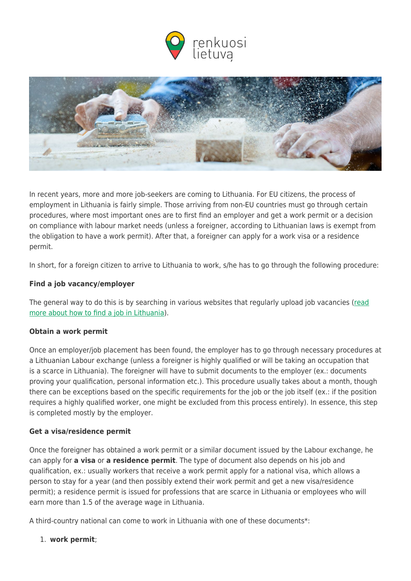



In recent years, more and more job-seekers are coming to Lithuania. For EU citizens, the process of employment in Lithuania is fairly simple. Those arriving from non-EU countries must go through certain procedures, where most important ones are to first find an employer and get a work permit or a decision on compliance with labour market needs (unless a foreigner, according to Lithuanian laws is exempt from the obligation to have a work permit). After that, a foreigner can apply for a work visa or a residence permit.

In short, for a foreign citizen to arrive to Lithuania to work, s/he has to go through the following procedure:

## **Find a job vacancy/employer**

The general way to do this is by searching in various websites that regularly upload job vacancies [\(read](https://www.renkuosilietuva.lt/en/individual-job-search/) [more about how to find a job in Lithuania\)](https://www.renkuosilietuva.lt/en/individual-job-search/).

## **Obtain a work permit**

Once an employer/job placement has been found, the employer has to go through necessary procedures at a Lithuanian Labour exchange (unless a foreigner is highly qualified or will be taking an occupation that is a scarce in Lithuania). The foreigner will have to submit documents to the employer (ex.: documents proving your qualification, personal information etc.). This procedure usually takes about a month, though there can be exceptions based on the specific requirements for the job or the job itself (ex.: if the position requires a highly qualified worker, one might be excluded from this process entirely). In essence, this step is completed mostly by the employer.

## **Get a visa/residence permit**

Once the foreigner has obtained a work permit or a similar document issued by the Labour exchange, he can apply for **a visa** or **a residence permit**. The type of document also depends on his job and qualification, ex.: usually workers that receive a work permit apply for a national visa, which allows a person to stay for a year (and then possibly extend their work permit and get a new visa/residence permit); a residence permit is issued for professions that are scarce in Lithuania or employees who will earn more than 1.5 of the average wage in Lithuania.

A third-country national can come to work in Lithuania with one of these documents\*:

1. **work permit**;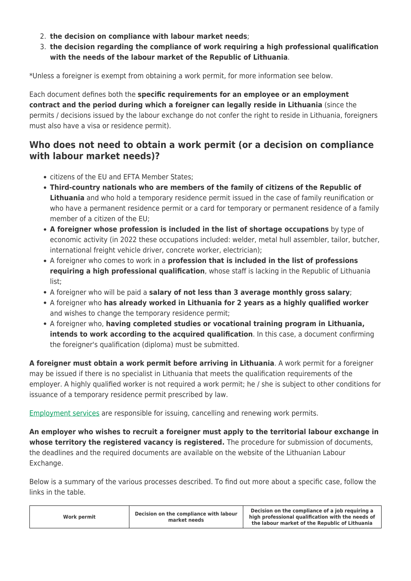- 2. **the decision on compliance with labour market needs**;
- 3. **the decision regarding the compliance of work requiring a high professional qualification with the needs of the labour market of the Republic of Lithuania**.

\*Unless a foreigner is exempt from obtaining a work permit, for more information see below.

Each document defines both the **specific requirements for an employee or an employment contract and the period during which a foreigner can legally reside in Lithuania** (since the permits / decisions issued by the labour exchange do not confer the right to reside in Lithuania, foreigners must also have a visa or residence permit).

## **Who does not need to obtain a work permit (or a decision on compliance with labour market needs)?**

- citizens of the EU and EFTA Member States;
- **Third-country nationals who are members of the family of citizens of the Republic of Lithuania** and who hold a temporary residence permit issued in the case of family reunification or who have a permanent residence permit or a card for temporary or permanent residence of a family member of a citizen of the EU;
- **A foreigner whose profession is included in the list of shortage occupations** by type of economic activity (in 2022 these occupations included: welder, metal hull assembler, tailor, butcher, international freight vehicle driver, concrete worker, electrician);
- A foreigner who comes to work in a **profession that is included in the list of professions requiring a high professional qualification**, whose staff is lacking in the Republic of Lithuania list;
- A foreigner who will be paid a **salary of not less than 3 average monthly gross salary**;
- A foreigner who **has already worked in Lithuania for 2 years as a highly qualified worker** and wishes to change the temporary residence permit;
- A foreigner who, **having completed studies or vocational training program in Lithuania, intends to work according to the acquired qualification**. In this case, a document confirming the foreigner's qualification (diploma) must be submitted.

**A foreigner must obtain a work permit before arriving in Lithuania**. A work permit for a foreigner may be issued if there is no specialist in Lithuania that meets the qualification requirements of the employer. A highly qualified worker is not required a work permit; he / she is subject to other conditions for issuance of a temporary residence permit prescribed by law.

[Employment services](https://uzt.lt/en/) are responsible for issuing, cancelling and renewing work permits.

**An employer who wishes to recruit a foreigner must apply to the territorial labour exchange in whose territory the registered vacancy is registered.** The procedure for submission of documents, the deadlines and the required documents are available on the website of the Lithuanian Labour Exchange.

Below is a summary of the various processes described. To find out more about a specific case, follow the links in the table.

| Work permit | Decision on the compliance with labour<br>market needs | Decision on the compliance of a job requiring a<br>high professional qualification with the needs of<br>the labour market of the Republic of Lithuania |
|-------------|--------------------------------------------------------|--------------------------------------------------------------------------------------------------------------------------------------------------------|
|-------------|--------------------------------------------------------|--------------------------------------------------------------------------------------------------------------------------------------------------------|